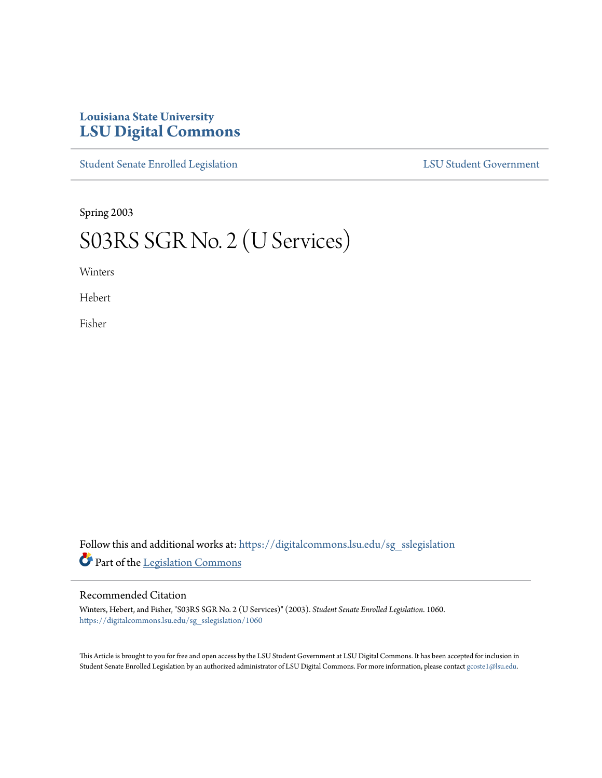## **Louisiana State University [LSU Digital Commons](https://digitalcommons.lsu.edu?utm_source=digitalcommons.lsu.edu%2Fsg_sslegislation%2F1060&utm_medium=PDF&utm_campaign=PDFCoverPages)**

[Student Senate Enrolled Legislation](https://digitalcommons.lsu.edu/sg_sslegislation?utm_source=digitalcommons.lsu.edu%2Fsg_sslegislation%2F1060&utm_medium=PDF&utm_campaign=PDFCoverPages) [LSU Student Government](https://digitalcommons.lsu.edu/sg?utm_source=digitalcommons.lsu.edu%2Fsg_sslegislation%2F1060&utm_medium=PDF&utm_campaign=PDFCoverPages)

Spring 2003

# S03RS SGR No. 2 (U Services)

Winters

Hebert

Fisher

Follow this and additional works at: [https://digitalcommons.lsu.edu/sg\\_sslegislation](https://digitalcommons.lsu.edu/sg_sslegislation?utm_source=digitalcommons.lsu.edu%2Fsg_sslegislation%2F1060&utm_medium=PDF&utm_campaign=PDFCoverPages) Part of the [Legislation Commons](http://network.bepress.com/hgg/discipline/859?utm_source=digitalcommons.lsu.edu%2Fsg_sslegislation%2F1060&utm_medium=PDF&utm_campaign=PDFCoverPages)

#### Recommended Citation

Winters, Hebert, and Fisher, "S03RS SGR No. 2 (U Services)" (2003). *Student Senate Enrolled Legislation*. 1060. [https://digitalcommons.lsu.edu/sg\\_sslegislation/1060](https://digitalcommons.lsu.edu/sg_sslegislation/1060?utm_source=digitalcommons.lsu.edu%2Fsg_sslegislation%2F1060&utm_medium=PDF&utm_campaign=PDFCoverPages)

This Article is brought to you for free and open access by the LSU Student Government at LSU Digital Commons. It has been accepted for inclusion in Student Senate Enrolled Legislation by an authorized administrator of LSU Digital Commons. For more information, please contact [gcoste1@lsu.edu.](mailto:gcoste1@lsu.edu)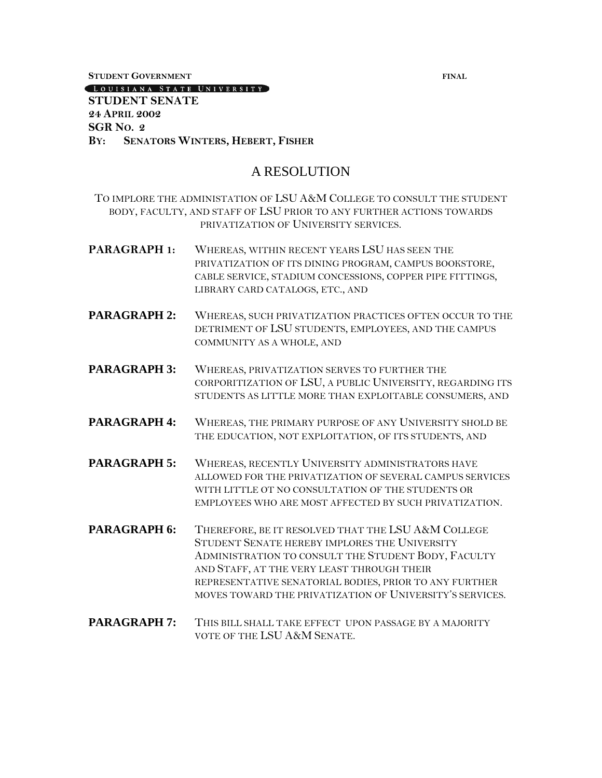**STUDENT GOVERNMENT FINAL**

#### LOUISIANA STATE UNIVERSITY

#### **STUDENT SENATE 24 APRIL 2002 SGR NO. 2 BY: SENATORS WINTERS, HEBERT, FISHER**

### A RESOLUTION

TO IMPLORE THE ADMINISTATION OF LSU A&M COLLEGE TO CONSULT THE STUDENT BODY, FACULTY, AND STAFF OF LSU PRIOR TO ANY FURTHER ACTIONS TOWARDS PRIVATIZATION OF UNIVERSITY SERVICES.

- **PARAGRAPH 1:** WHEREAS, WITHIN RECENT YEARS LSU HAS SEEN THE PRIVATIZATION OF ITS DINING PROGRAM, CAMPUS BOOKSTORE, CABLE SERVICE, STADIUM CONCESSIONS, COPPER PIPE FITTINGS, LIBRARY CARD CATALOGS, ETC., AND
- **PARAGRAPH 2:** WHEREAS, SUCH PRIVATIZATION PRACTICES OFTEN OCCUR TO THE DETRIMENT OF LSU STUDENTS, EMPLOYEES, AND THE CAMPUS COMMUNITY AS A WHOLE, AND
- **PARAGRAPH 3:** WHEREAS, PRIVATIZATION SERVES TO FURTHER THE CORPORITIZATION OF LSU, A PUBLIC UNIVERSITY, REGARDING ITS STUDENTS AS LITTLE MORE THAN EXPLOITABLE CONSUMERS, AND
- PARAGRAPH 4: WHEREAS, THE PRIMARY PURPOSE OF ANY UNIVERSITY SHOLD BE THE EDUCATION, NOT EXPLOITATION, OF ITS STUDENTS, AND
- **PARAGRAPH 5:** WHEREAS, RECENTLY UNIVERSITY ADMINISTRATORS HAVE ALLOWED FOR THE PRIVATIZATION OF SEVERAL CAMPUS SERVICES WITH LITTLE OT NO CONSULTATION OF THE STUDENTS OR EMPLOYEES WHO ARE MOST AFFECTED BY SUCH PRIVATIZATION.
- PARAGRAPH 6: THEREFORE, BE IT RESOLVED THAT THE LSU A&M COLLEGE STUDENT SENATE HEREBY IMPLORES THE UNIVERSITY ADMINISTRATION TO CONSULT THE STUDENT BODY, FACULTY AND STAFF, AT THE VERY LEAST THROUGH THEIR REPRESENTATIVE SENATORIAL BODIES, PRIOR TO ANY FURTHER MOVES TOWARD THE PRIVATIZATION OF UNIVERSITY'S SERVICES.
- **PARAGRAPH 7:** THIS BILL SHALL TAKE EFFECT UPON PASSAGE BY A MAJORITY VOTE OF THE LSU A&M SENATE.